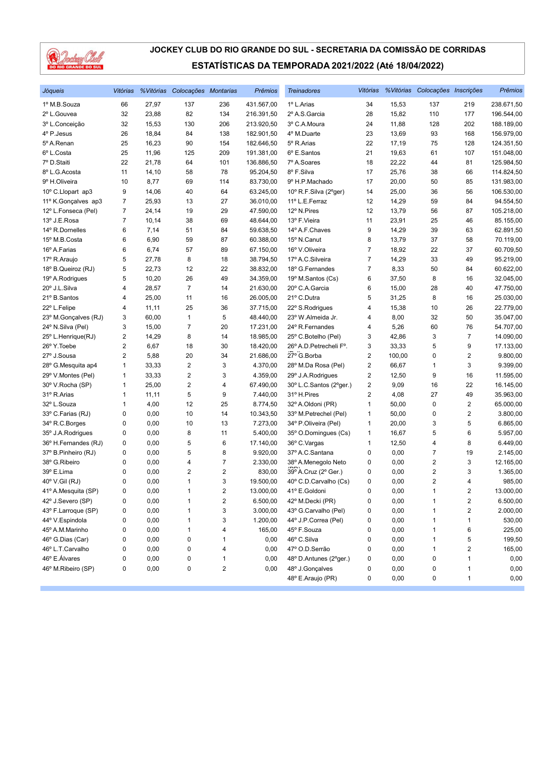

| Jóqueis              | Vitórias                |       | % Vitórias Colocações Montarias |     | <b>Prêmios</b> | <b>Treinadores</b>      |                         |        | Vitórias % Vitórias Colocações Inscrições |                         | Prêmios    |
|----------------------|-------------------------|-------|---------------------------------|-----|----------------|-------------------------|-------------------------|--------|-------------------------------------------|-------------------------|------------|
| 1º M.B.Souza         | 66                      | 27,97 | 137                             | 236 | 431.567,00     | 1º L.Arias              | 34                      | 15,53  | 137                                       | 219                     | 238.671,50 |
| 2º L.Gouvea          | 32                      | 23,88 | 82                              | 134 | 216.391,50     | 2º A.S. Garcia          | 28                      | 15,82  | 110                                       | 177                     | 196.544,00 |
| 3º L.Conceição       | 32                      | 15,53 | 130                             | 206 | 213.920,50     | 3º C.A.Moura            | 24                      | 11,88  | 128                                       | 202                     | 188.189,00 |
| 4º P.Jesus           | 26                      | 18,84 | 84                              | 138 | 182.901,50     | 4º M.Duarte             | 23                      | 13,69  | 93                                        | 168                     | 156.979,00 |
| 5º A.Renan           | 25                      | 16,23 | 90                              | 154 | 182.646,50     | 5º R.Arias              | 22                      | 17,19  | 75                                        | 128                     | 124.351,50 |
| 6º L.Costa           | 25                      | 11,96 | 125                             | 209 | 191.381,00     | 6º E.Santos             | 21                      | 19,63  | 61                                        | 107                     | 151.048,00 |
| 7º D.Staiti          | 22                      | 21,78 | 64                              | 101 | 136.886,50     | 7º A.Soares             | 18                      | 22,22  | 44                                        | 81                      | 125.984,50 |
| 8º L.G. Acosta       | 11                      | 14,10 | 58                              | 78  | 95.204,50      | 8º F.Silva              | 17                      | 25,76  | 38                                        | 66                      | 114.824,50 |
| 9º H.Oliveira        | 10                      | 8,77  | 69                              | 114 | 83.730,00      | 9º H.P.Machado          | 17                      | 20,00  | 50                                        | 85                      | 131.983,00 |
| 10° C.Llopart ap3    | 9                       | 14,06 | 40                              | 64  | 63.245,00      | 10° R.F.Silva (2°ger)   | 14                      | 25,00  | 36                                        | 56                      | 106.530,00 |
| 11º K.Gonçalves ap3  | 7                       | 25,93 | 13                              | 27  | 36.010,00      | 11º L.E.Ferraz          | 12                      | 14,29  | 59                                        | 84                      | 94.554,50  |
| 12º L.Fonseca (Pel)  | 7                       | 24,14 | 19                              | 29  | 47.590,00      | 12° N.Pires             | 12                      | 13,79  | 56                                        | 87                      | 105.218,00 |
| 13º J.E.Rosa         | $\overline{7}$          | 10,14 | 38                              | 69  | 48.644,00      | 13º F.Vieira            | 11                      | 23,91  | 25                                        | 46                      | 85.155,00  |
| 14º R.Dornelles      | 6                       | 7,14  | 51                              | 84  | 59.638,50      | 14º A.F.Chaves          | 9                       | 14,29  | 39                                        | 63                      | 62.891,50  |
| 15º M.B.Costa        | 6                       | 6,90  | 59                              | 87  | 60.388,00      | 15º N.Canut             | 8                       | 13,79  | 37                                        | 58                      | 70.119,00  |
| 16º A.Farias         | 6                       | 6,74  | 57                              | 89  | 67.150,00      | 16° V.Oliveira          | $\overline{7}$          | 18,92  | 22                                        | 37                      | 60.709,50  |
| 17º R.Araujo         | 5                       | 27,78 | 8                               | 18  | 38.794,50      | 17º A.C.Silveira        | $\overline{7}$          | 14,29  | 33                                        | 49                      | 95.219,00  |
| 18º B.Queiroz (RJ)   | 5                       | 22,73 | 12                              | 22  | 38.832,00      | 18º G.Fernandes         | 7                       | 8,33   | 50                                        | 84                      | 60.622,00  |
| 19º A.Rodrigues      | 5                       | 10,20 | 26                              | 49  | 34.359,00      | 19º M.Santos (Cs)       | 6                       | 37,50  | 8                                         | 16                      | 32.045,00  |
| 20° J.L.Silva        | 4                       | 28,57 | $\overline{7}$                  | 14  | 21.630,00      | 20° C.A.Garcia          | 6                       | 15,00  | 28                                        | 40                      | 47.750,00  |
| 21º B.Santos         | 4                       | 25,00 | 11                              | 16  | 26.005,00      | 21º C.Dutra             | 5                       | 31,25  | 8                                         | 16                      | 25.030,00  |
| 22º L.Felipe         | 4                       | 11,11 | 25                              | 36  | 37.715,00      | 22° S.Rodrigues         | 4                       | 15,38  | 10                                        | 26                      | 22.779,00  |
| 23° M.Gonçalves (RJ) | 3                       | 60,00 | $\mathbf{1}$                    | 5   | 48.440,00      | 23° W.Almeida Jr.       | 4                       | 8,00   | 32                                        | 50                      | 35.047,00  |
| 24° N.Silva (Pel)    | 3                       | 15,00 | $\overline{7}$                  | 20  | 17.231,00      | 24° R.Fernandes         | 4                       | 5,26   | 60                                        | 76                      | 54.707,00  |
| 25° L.Henrique(RJ)   | 2                       | 14,29 | 8                               | 14  | 18.985,00      | 25° C.Botelho (Pel)     | 3                       | 42,86  | 3                                         | $\overline{7}$          | 14.090,00  |
| 26° Y. Toebe         | $\overline{\mathbf{c}}$ | 6,67  | 18                              | 30  | 18.420,00      | 26° A.D. Petrecheli F°. | 3                       | 33,33  | 5                                         | 9                       | 17.133,00  |
| 27º J.Sousa          | 2                       | 5,88  | 20                              | 34  | 21.686,00      | 27º G.Borba             | $\overline{2}$          | 100,00 | 0                                         | 2                       | 9.800,00   |
| 28° G.Mesquita ap4   | 1                       | 33,33 | $\overline{2}$                  | 3   | 4.370,00       | 28° M.Da Rosa (Pel)     | $\overline{2}$          | 66,67  | 1                                         | 3                       | 9.399,00   |
| 29° V.Montes (Pel)   | 1                       | 33,33 | $\overline{2}$                  | 3   | 4.359,00       | 29° J.A.Rodrigues       | 2                       | 12,50  | 9                                         | 16                      | 11.595,00  |
| 30° V.Rocha (SP)     | 1                       | 25,00 | $\sqrt{2}$                      | 4   | 67.490,00      | 30° L.C.Santos (2°ger.) | $\overline{\mathbf{c}}$ | 9,09   | 16                                        | 22                      | 16.145,00  |
| 31º R.Arias          | 1                       | 11,11 | 5                               | 9   | 7.440,00       | 31º H. Pires            | $\overline{2}$          | 4,08   | 27                                        | 49                      | 35.963,00  |
| 32º L.Souza          | 1                       | 4,00  | 12                              | 25  | 8.774,50       | 32º A.Oldoni (PR)       | $\mathbf{1}$            | 50,00  | $\mathbf 0$                               | $\overline{2}$          | 65.000,00  |
| 33º C.Farias (RJ)    | 0                       | 0,00  | 10                              | 14  | 10.343,50      | 33º M.Petrechel (Pel)   | 1                       | 50,00  | 0                                         | 2                       | 3.800,00   |
| 34° R.C.Borges       | 0                       | 0,00  | 10                              | 13  | 7.273,00       | 34° P.Oliveira (Pel)    | $\mathbf{1}$            | 20,00  | 3                                         | 5                       | 6.865,00   |
| 35° J.A.Rodrigues    | 0                       | 0,00  | 8                               | 11  | 5.400,00       | 35° O.Domingues (Cs)    | 1                       | 16,67  | 5                                         | 6                       | 5.957,00   |
| 36° H.Fernandes (RJ) | 0                       | 0,00  | 5                               | 6   | 17.140,00      | 36° C.Vargas            | 1                       | 12,50  | 4                                         | 8                       | 6.449,00   |
| 37º B.Pinheiro (RJ)  | 0                       | 0,00  | 5                               | 8   | 9.920,00       | 37º A.C.Santana         | $\pmb{0}$               | 0,00   | 7                                         | 19                      | 2.145,00   |
| 38° G.Ribeiro        | 0                       | 0,00  | 4                               | 7   | 2.330,00       | 38º A.Menegolo Neto     | 0                       | 0,00   | 2                                         | 3                       | 12.165,00  |
| 39° E.Lima           | 0                       | 0,00  | $\overline{2}$                  | 2   | 830,00         | 39° A.Cruz (2° Ger.)    | 0                       | 0,00   | $\overline{2}$                            | 3                       | 1.365,00   |
| 40° V.Gil (RJ)       | 0                       | 0,00  | $\mathbf{1}$                    | 3   | 19.500,00      | 40° C.D.Carvalho (Cs)   | 0                       | 0,00   | 2                                         | $\overline{4}$          | 985,00     |
| 41º A.Mesquita (SP)  | 0                       | 0,00  | 1                               | 2   | 13.000,00      | 41º E.Goldoni           | 0                       | 0,00   | 1                                         | $\overline{\mathbf{c}}$ | 13.000,00  |
| 42º J.Severo (SP)    | 0                       | 0,00  | 1                               | 2   | 6.500,00       | 42º M.Decki (PR)        | 0                       | 0,00   | 1                                         | 2                       | 6.500,00   |
| 43° F.Larroque (SP)  | 0                       | 0,00  | 1                               | 3   | 3.000,00       | 43° G.Carvalho (Pel)    | 0                       | 0,00   | 1                                         | $\boldsymbol{2}$        | 2.000,00   |
| 44º V.Espindola      | 0                       | 0,00  | 1                               | 3   | 1.200,00       | 44° J.P.Correa (Pel)    | 0                       | 0,00   | 1                                         | 1                       | 530,00     |
| 45° A.M.Marinho      | 0                       | 0,00  | 1                               | 4   | 165,00         | 45° F.Souza             | 0                       | 0,00   | 1                                         | 6                       | 225,00     |
| 46° G.Dias (Car)     | 0                       | 0,00  | 0                               | 1   | 0,00           | 46° C.Silva             | 0                       | 0,00   | 1                                         | 5                       | 199,50     |
| 46° L.T.Carvalho     | 0                       | 0,00  | 0                               | 4   | 0,00           | 47º O.D.Serrão          | 0                       | 0,00   | 1                                         | $\overline{\mathbf{c}}$ | 165,00     |
| 46° E.Álvares        | 0                       | 0,00  | 0                               | 1   | 0,00           | 48° D.Antunes (2°ger.)  | 0                       | 0,00   | 0                                         | 1                       | 0,00       |
| 46° M.Ribeiro (SP)   | 0                       | 0,00  | 0                               | 2   | 0,00           | 48° J.Gonçalves         | 0                       | 0,00   | 0                                         | 1                       | 0,00       |
|                      |                         |       |                                 |     |                | 48° E.Araujo (PR)       | 0                       | 0,00   | 0                                         | $\mathbf{1}$            | 0,00       |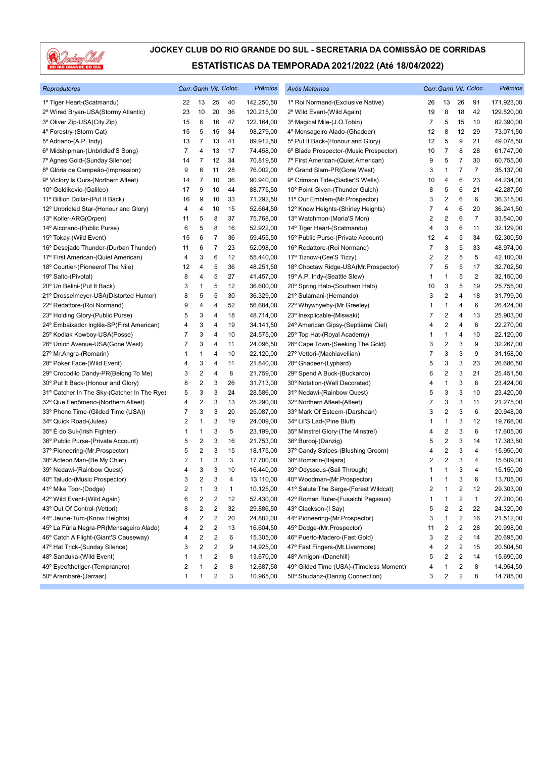

| Reprodutores                                |                |                         |                  | Corr. Ganh Vit. Coloc. | Prêmios                | Avós Maternos                           |    |                         |                         | Corr. Ganh Vit. Coloc. | Prêmios    |
|---------------------------------------------|----------------|-------------------------|------------------|------------------------|------------------------|-----------------------------------------|----|-------------------------|-------------------------|------------------------|------------|
| 1º Tiger Heart-(Scatmandu)                  | 22             | 13                      | 25               | 40                     | 142.250,50             | 1º Roi Normand-(Exclusive Native)       | 26 | 13                      | 26                      | 91                     | 171.923,00 |
| 2º Wired Bryan-USA(Stormy Atlantic)         | 23             | 10                      | 20               | 36                     | 120.215,00             | 2º Wild Event-(Wild Again)              | 19 | 8                       | 18                      | 42                     | 129.520,00 |
| 3º Oliver Zip-USA(City Zip)                 | 15             | 6                       | 16               | 47                     | 122.164,00             | 3º Magical Mile-(J.O.Tobin)             | 7  | 5                       | 15                      | 10                     | 82.390,00  |
| 4º Forestry-(Storm Cat)                     | 15             | 5                       | 15               | 34                     | 98.279,00              | 4º Mensageiro Alado-(Ghadeer)           | 12 | 8                       | 12                      | 29                     | 73.071,50  |
| 5º Adriano-(A.P. Indy)                      | 13             | 7                       | 13               | 41                     | 89.912,50              | 5° Put It Back-(Honour and Glory)       | 12 | 5                       | 9                       | 21                     | 49.078,50  |
| 6º Midshipman-(Unbridled'S Song)            | $\overline{7}$ | 4                       | 13               | 17                     | 74.458,00              | 6° Blade Prospector-(Music Prospector)  | 10 | $\overline{7}$          | 8                       | 28                     | 61.747,00  |
| 7º Agnes Gold-(Sunday Silence)              | 14             | 7                       | 12               | 34                     | 70.819,50              | 7º First American-(Quiet American)      | 9  | 5                       | 7                       | 30                     | 60.755,00  |
| 8º Glória de Campeão-(Impression)           | 9              | 6                       | 11               | 28                     | 76.002,00              | 8º Grand Slam-PR(Gone West)             | 3  | $\mathbf{1}$            | 7                       | 7                      | 35.137,00  |
| 9º Victory Is Ours-(Northern Afleet)        | 14             | 7                       | 10               | 36                     | 90.940,00              | 9º Crimson Tide-(Sadler'S Wells)        | 10 | 4                       | 6                       | 23                     | 44.234,00  |
| 10° Goldikovic-(Galileo)                    | 17             | 9                       | 10               | 44                     | 88.775,50              | 10° Point Given-(Thunder Gulch)         | 8  | 5                       | 6                       | 21                     | 42.287,50  |
| 11º Billion Dollar-(Put It Back)            | 16             | 9                       | 10               | 33                     | 71.292,50              | 11º Our Emblem-(Mr.Prospector)          | 3  | 2                       | 6                       | 6                      | 36.315,00  |
| 12º Unbridled Star-(Honour and Glory)       | 4              | 4                       | 10               | 15                     | 52.664,50              | 12° Know Heights-(Shirley Heights)      | 7  | 4                       | 6                       | 20                     | 36.241,50  |
| 13º Koller-ARG(Orpen)                       | 11             | 5                       | 8                | 37                     | 75.768,00              | 13º Watchmon-(Maria'S Mon)              | 2  | $\overline{2}$          | 6                       | 7                      | 33.540,00  |
| 14º Alcorano-(Public Purse)                 | 6              | 5                       | 8                | 16                     | 52.922,00              | 14° Tiger Heart-(Scatmandu)             | 4  | 3                       | 6                       | 11                     | 32.129,00  |
| 15° Tokay-(Wild Event)                      | 15             | 6                       | 7                | 36                     | 59.455,50              | 15° Public Purse-(Private Account)      | 12 | 4                       | 5                       | 34                     | 52.300,50  |
| 16° Desejado Thunder-(Durban Thunder)       | 11             | 6                       | 7                | 23                     | 52.098,00              | 16° Redattore-(Roi Normand)             | 7  | 3                       | 5                       | 33                     | 48.974,00  |
| 17º First American-(Quiet American)         | 4              | 3                       | 6                | 12                     | 55.440,00              | 17º Tiznow-(Cee'S Tizzy)                | 2  | $\overline{2}$          | 5                       | 5                      | 42.100,00  |
| 18° Courtier-(Pioneerof The Nile)           | 12             | 4                       | 5                | 36                     | 48.251,50              | 18° Choctaw Ridge-USA(Mr. Prospector)   | 7  | 5                       | 5                       | 17                     | 32.702,50  |
| 19º Salto-(Pivotal)                         | 8              | 4                       | 5                | 27                     | 41.457,00              | 19º A.P. Indy-(Seattle Slew)            | 1  | $\mathbf{1}$            | 5                       | $\overline{c}$         | 32.150,00  |
| 20° Un Belini-(Put It Back)                 | 3              | 1                       | 5                | 12                     | 36.600,00              | 20° Spring Halo-(Southern Halo)         | 10 | 3                       | 5                       | 19                     | 25.755,00  |
| 21º Drosselmeyer-USA(Distorted Humor)       | 8              | 5                       | 5                | 30                     | 36.329,00              | 21º Sulamani-(Hernando)                 | 3  | $\overline{\mathbf{c}}$ | 4                       | 18                     | 31.799,00  |
| 22° Redattore-(Roi Normand)                 | 9              | 4                       | 4                | 52                     | 56.684,00              | 22° Whywhywhy-(Mr.Greeley)              | 1  | $\mathbf{1}$            | 4                       | 6                      | 26.424,00  |
| 23° Holding Glory-(Public Purse)            | 5              | 3                       | 4                | 18                     | 48.714,00              | 23° Inexplicable-(Miswaki)              | 7  | $\overline{2}$          | 4                       | 13                     | 25.903,00  |
|                                             |                | 3                       |                  |                        |                        | 24º American Gipsy-(Septième Ciel)      |    | $\overline{\mathbf{c}}$ |                         | 6                      |            |
| 24° Embaixador Inglês-SP(First American)    | 4<br>7         | 3                       | 4<br>4           | 19                     | 34.141,50<br>24.575,00 |                                         | 4  |                         | 4                       |                        | 22.270,00  |
| 25° Kodiak Kowboy-USA(Posse)                |                | 3                       | 4                | 10                     |                        | 25° Top Hat-(Royal Academy)             | 1  | $\mathbf{1}$            | 4                       | 10                     | 22.120,00  |
| 26° Union Avenue-USA(Gone West)             | 7              |                         |                  | 11                     | 24.096,50              | 26° Cape Town-(Seeking The Gold)        | 3  | 2                       | 3                       | 9                      | 32.267,00  |
| 27º Mr.Angra-(Romarin)                      | 1              | 1                       | 4                | 10                     | 22.120,00              | 27º Vettori-(Machiavellian)             | 7  | 3                       | 3                       | 9                      | 31.158,00  |
| 28° Poker Face-(Wild Event)                 | 4              | 3                       | 4                | 11                     | 21.840,00              | 28° Ghadeer-(Lyphard)                   | 5  | 3                       | 3                       | 23                     | 26.686,50  |
| 29° Crocodilo Dandy-PR(Belong To Me)        | 3              | 2                       | 4                | 8                      | 21.759,00              | 29° Spend A Buck-(Buckaroo)             | 6  | $\overline{2}$          | 3                       | 21                     | 25.451,50  |
| 30° Put It Back-(Honour and Glory)          | 8              | 2                       | 3                | 26                     | 31.713,00              | 30° Notation-(Well Decorated)           | 4  | 1                       | 3                       | 6                      | 23.424,00  |
| 31° Catcher In The Sky-(Catcher In The Rye) | 5              | 3                       | 3                | 24                     | 28.586,00              | 31º Nedawi-(Rainbow Quest)              | 5  | 3                       | 3                       | 10                     | 23.420,00  |
| 32° Que Fenômeno-(Northern Afleet)          | 4              | $\overline{\mathbf{c}}$ | 3                | 13                     | 25.290,00              | 32° Northern Afleet-(Afleet)            | 7  | 3                       | 3                       | 11                     | 21.275,00  |
| 33º Phone Time-(Gilded Time (USA))          | 7              | 3                       | 3                | 20                     | 25.087,00              | 33º Mark Of Esteem-(Darshaan)           | 3  | $\overline{\mathbf{c}}$ | 3                       | 6                      | 20.948,00  |
| 34° Quick Road-(Jules)                      | 2              | 1                       | 3                | 19                     | 24.009,00              | 34° Lil'S Lad-(Pine Bluff)              | 1  | $\mathbf{1}$            | 3                       | 12                     | 19.768,00  |
| 35° É do Sul-(Irish Fighter)                | 1              | 1                       | 3                | 5                      | 23.199,00              | 35° Minstrel Glory-(The Minstrel)       | 4  | $\overline{2}$          | 3                       | 6                      | 17.605,00  |
| 36° Public Purse-(Private Account)          | 5              | 2                       | 3                | 16                     | 21.753,00              | 36° Burooj-(Danzig)                     | 5  | $\sqrt{2}$              | 3                       | 14                     | 17.383,50  |
| 37º Pioneering-(Mr.Prospector)              | 5              | 2                       | 3                | 15                     | 18.175,00              | 37° Candy Stripes-(Blushing Groom)      | 4  | $\overline{\mathbf{c}}$ | 3                       | 4                      | 15.950,00  |
| 38° Acteon Man-(Be My Chief)                | 2              | 1                       | 3                | 3                      | 17.700,00              | 38º Romarin-(Itajara)                   | 2  | $\overline{\mathbf{c}}$ | 3                       | 4                      | 15.609,00  |
| 39° Nedawi-(Rainbow Quest)                  | 4              | 3                       | 3                | 10                     | 16.440,00              | 39° Odysseus-(Sail Through)             | 1  | $\mathbf{1}$            | 3                       | 4                      | 15.150,00  |
| 40° Taludo-(Music Prospector)               | 3              | 2                       | 3                | 4                      | 13.110,00              | 40° Woodman-(Mr.Prospector)             | 1  | $\mathbf{1}$            | 3                       | 6                      | 13.705,00  |
| 41º Mike Toor-(Dodge)                       | 2              | 1                       | 3                | $\mathbf{1}$           | 10.125,00              | 41º Salute The Sarge-(Forest Wildcat)   | 2  | 1                       | 2                       | 12                     | 29.303,00  |
| 42° Wild Event-(Wild Again)                 | 6              | 2                       | $\sqrt{2}$       | 12                     | 52.430,00              | 42º Roman Ruler-(Fusaichi Pegasus)      | 1  | -1                      | $\sqrt{2}$              | $\mathbf{1}$           | 27.200,00  |
| 43° Out Of Control-(Vettori)                | 8              | 2                       | 2                | 32                     | 29.886,50              | 43° Clackson-(I Say)                    | 5  | $\overline{2}$          | $\overline{\mathbf{c}}$ | 22                     | 24.320,00  |
| 44° Jeune-Turc-(Know Heights)               | 4              | 2                       | 2                | 20                     | 24.882,00              | 44° Pioneering-(Mr.Prospector)          | 3  | 1                       | 2                       | 16                     | 21.512,00  |
| 45° La Fúria Negra-PR(Mensageiro Alado)     | 4              | 2                       | 2                | 13                     | 16.604,50              | 45° Dodge-(Mr. Prospector)              | 11 | 2                       | 2                       | 28                     | 20.998,00  |
| 46° Catch A Flight-(Giant'S Causeway)       | 4              | 2                       | $\boldsymbol{2}$ | 6                      | 15.305,00              | 46° Puerto-Madero-(Fast Gold)           | 3  | $\overline{2}$          | $\sqrt{2}$              | 14                     | 20.695,00  |
| 47º Hat Trick-(Sunday Silence)              | 3              | 2                       | $\boldsymbol{2}$ | 9                      | 14.925,00              | 47º Fast Fingers-(Mt.Livermore)         | 4  | $\overline{2}$          | $\boldsymbol{2}$        | 15                     | 20.504,50  |
| 48° Sanduka-(Wild Event)                    | 1              | 1                       | 2                | 8                      | 13.670,00              | 48º Amigoni-(Danehill)                  | 5  | $\overline{\mathbf{c}}$ | $\overline{\mathbf{c}}$ | 14                     | 15.690,00  |
| 49° Eyeofthetiger-(Tempranero)              | 2              | 1                       | 2                | 8                      | 12.687,50              | 49° Gilded Time (USA)-(Timeless Moment) | 4  | 1                       | 2                       | 8                      | 14.954,50  |
| 50° Arambaré-(Jarraar)                      | 1              | 1                       | 2                | 3                      | 10.965,00              | 50° Shudanz-(Danzig Connection)         | 3  | 2                       | $\overline{\mathbf{c}}$ | 8                      | 14.785,00  |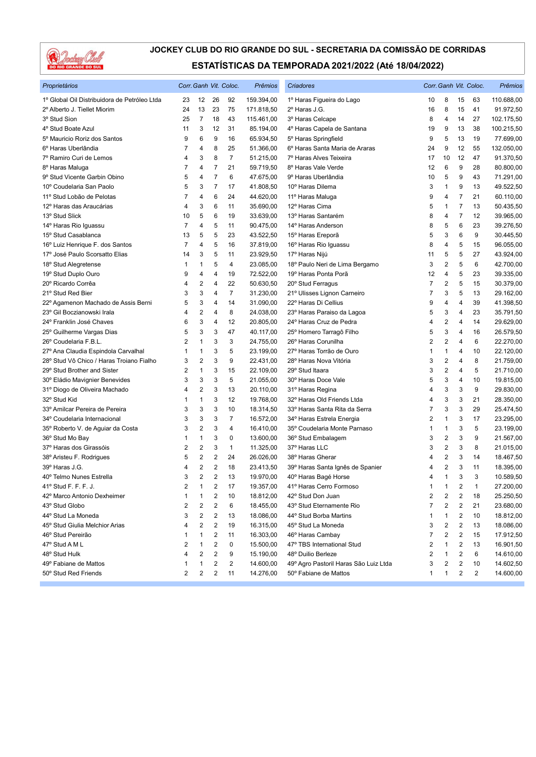

| Proprietários                                |                         |                         |                          | Corr. Ganh Vit. Coloc. | Prêmios    | Criadores                             |                |                         |    | Corr. Ganh Vit. Coloc. | Prêmios    |
|----------------------------------------------|-------------------------|-------------------------|--------------------------|------------------------|------------|---------------------------------------|----------------|-------------------------|----|------------------------|------------|
| 1º Global Oil Distribuidora de Petróleo Ltda | 23                      | 12                      | 26                       | 92                     | 159.394,00 | 1º Haras Figueira do Lago             | 10             | 8                       | 15 | 63                     | 110.688,00 |
| 2º Alberto J. Tiellet Miorim                 | 24                      | 13                      | 23                       | 75                     | 171.818,50 | 2º Haras J.G.                         | 16             | 8                       | 15 | 41                     | 91.972,50  |
| 3º Stud Sion                                 | 25                      | $\overline{7}$          | 18                       | 43                     | 115.461,00 | 3º Haras Celcape                      | 8              | 4                       | 14 | 27                     | 102.175,50 |
| 4° Stud Boate Azul                           | 11                      | 3                       | 12                       | 31                     | 85.194,00  | 4º Haras Capela de Santana            | 19             | 9                       | 13 | 38                     | 100.215,50 |
| 5º Mauricio Roriz dos Santos                 | 9                       | 6                       | 9                        | 16                     | 65.934,50  | 5° Haras Springfield                  | 9              | 5                       | 13 | 19                     | 77.699,00  |
| 6º Haras Uberlândia                          | 7                       | 4                       | 8                        | 25                     | 51.366,00  | 6º Haras Santa Maria de Araras        | 24             | 9                       | 12 | 55                     | 132.050,00 |
| 7º Ramiro Curi de Lemos                      | 4                       | 3                       | 8                        | $\overline{7}$         | 51.215,00  | 7º Haras Alves Teixeira               | 17             | 10                      | 12 | 47                     | 91.370,50  |
| 8º Haras Maluga                              | 7                       | 4                       | 7                        | 21                     | 59.719,50  | 8º Haras Vale Verde                   | 12             | 6                       | 9  | 28                     | 80.800,00  |
| 9° Stud Vicente Garbin Obino                 | 5                       | 4                       | $\overline{\mathcal{I}}$ | 6                      | 47.675,00  | 9º Haras Uberlândia                   | 10             | 5                       | 9  | 43                     | 71.291,00  |
| 10° Coudelaria San Paolo                     | 5                       | 3                       | $\overline{7}$           | 17                     | 41.808,50  | 10° Haras Dilema                      | 3              | 1                       | 9  | 13                     | 49.522,50  |
| 11º Stud Lobão de Pelotas                    | 7                       | 4                       | 6                        | 24                     | 44.620,00  | 11º Haras Maluga                      | 9              | 4                       | 7  | 21                     | 60.110,00  |
| 12º Haras das Araucárias                     | 4                       | 3                       | 6                        | 11                     | 35.690,00  | 12º Haras Cima                        | 5              | 1                       | 7  | 13                     | 50.435,50  |
| 13º Stud Slick                               | 10                      | 5                       | 6                        | 19                     | 33.639,00  | 13º Haras Santarém                    | 8              | 4                       | 7  | 12                     | 39.965,00  |
| 14º Haras Rio Iguassu                        | $\overline{7}$          | 4                       | 5                        | 11                     | 90.475,00  | 14° Haras Anderson                    | 8              | 5                       | 6  | 23                     | 39.276,50  |
| 15° Stud Casablanca                          | 13                      | 5                       | 5                        | 23                     | 43.522,50  | 15° Haras Ereporã                     | 5              | 3                       | 6  | 9                      | 30.445,50  |
| 16° Luiz Henrique F. dos Santos              | $\overline{7}$          | 4                       | 5                        | 16                     | 37.819,00  | 16° Haras Rio Iguassu                 | 8              | 4                       | 5  | 15                     | 96.055,00  |
| 17º José Paulo Scorsatto Elias               | 14                      | 3                       | 5                        | 11                     | 23.929,50  | 17º Haras Nijú                        | 11             | 5                       | 5  | 27                     | 43.924,00  |
| 18° Stud Alegretense                         | 1                       | 1                       | 5                        | 4                      | 23.085,00  | 18º Paulo Neri de Lima Bergamo        | 3              | $\overline{2}$          | 5  | 6                      | 42.700,00  |
| 19° Stud Duplo Ouro                          | 9                       | 4                       | 4                        | 19                     | 72.522,00  | 19º Haras Ponta Porã                  | 12             | 4                       | 5  | 23                     | 39.335,00  |
| 20° Ricardo Corrêa                           | 4                       | 2                       | 4                        | 22                     | 50.630,50  | 20° Stud Ferragus                     | 7              | $\overline{\mathbf{c}}$ | 5  | 15                     | 30.379,00  |
| 21º Stud Red Bier                            | 3                       | 3                       | 4                        | $\overline{7}$         | 31.230,00  | 21º Ulisses Lignon Carneiro           | 7              | 3                       | 5  | 13                     | 29.162,00  |
| 22º Agamenon Machado de Assis Berni          | 5                       | 3                       | 4                        | 14                     | 31.090,00  | 22º Haras Di Cellius                  | 9              | 4                       | 4  | 39                     | 41.398,50  |
| 23° Gil Boczianowski Irala                   | 4                       | 2                       | 4                        | 8                      | 24.038,00  | 23º Haras Paraiso da Lagoa            | 5              | 3                       | 4  | 23                     | 35.791,50  |
| 24º Franklin José Chaves                     | 6                       | 3                       | $\overline{4}$           | 12                     | 20.805,00  | 24° Haras Cruz de Pedra               | 4              | $\overline{2}$          | 4  | 14                     | 29.629,00  |
| 25° Guilherme Vargas Dias                    | 5                       | 3                       | 3                        | 47                     | 40.117,00  | 25° Homero Tarragô Filho              | 5              | 3                       | 4  | 16                     | 26.579,50  |
| 26° Coudelaria F.B.L.                        | $\overline{2}$          | 1                       | 3                        | 3                      | 24.755,00  | 26° Haras Corunilha                   | $\overline{2}$ | $\overline{2}$          | 4  | 6                      | 22.270,00  |
| 27º Ana Claudia Espindola Carvalhal          | 1                       | 1                       | 3                        | 5                      | 23.199,00  | 27º Haras Torrão de Ouro              | 1              | 1                       | 4  | 10                     | 22.120,00  |
| 28° Stud Vô Chico / Haras Troiano Fialho     | 3                       | 2                       | 3                        | 9                      | 22.431,00  | 28º Haras Nova Vitória                | 3              | $\overline{\mathbf{c}}$ | 4  | 8                      | 21.759,00  |
| 29° Stud Brother and Sister                  | 2                       | 1                       | 3                        | 15                     | 22.109,00  | 29° Stud Itaara                       | 3              | $\overline{2}$          | 4  | 5                      | 21.710,00  |
| 30° Eládio Mavignier Benevides               | 3                       | 3                       | 3                        | 5                      | 21.055,00  | 30° Haras Doce Vale                   | 5              | 3                       | 4  | 10                     | 19.815,00  |
| 31º Diogo de Oliveira Machado                | 4                       | 2                       | 3                        | 13                     | 20.110,00  | 31º Haras Regina                      | 4              | 3                       | 3  | 9                      | 29.830,00  |
| 32° Stud Kid                                 | 1                       | 1                       | 3                        | 12                     | 19.768,00  | 32º Haras Old Friends Ltda            | 4              | 3                       | 3  | 21                     | 28.350,00  |
| 33º Amilcar Pereira de Pereira               | 3                       | 3                       | 3                        | 10                     | 18.314,50  | 33º Haras Santa Rita da Serra         | 7              | 3                       | 3  | 29                     | 25.474,50  |
| 34º Coudelaria Internacional                 | 3                       | 3                       | 3                        | 7                      | 16.572,00  | 34º Haras Estrela Energia             | 2              | $\mathbf{1}$            | 3  | 17                     | 23.295,00  |
| 35º Roberto V. de Aguiar da Costa            | 3                       | 2                       | 3                        | 4                      | 16.410,00  | 35° Coudelaria Monte Parnaso          | 1              | 1                       | 3  | 5                      | 23.199,00  |
| 36° Stud Mo Bay                              | 1                       | 1                       | 3                        | 0                      | 13.600,00  | 36° Stud Embalagem                    | 3              | $\overline{2}$          | 3  | 9                      | 21.567,00  |
| 37º Haras dos Girassóis                      | $\overline{\mathbf{c}}$ | 2                       | 3                        | $\mathbf{1}$           | 11.325,00  | 37º Haras LLC                         | 3              | $\overline{\mathbf{c}}$ | 3  | 8                      | 21.015,00  |
| 38° Aristeu F. Rodrigues                     | 5                       | 2                       | $\overline{c}$           | 24                     | 26.026,00  | 38° Haras Gherar                      | 4              | $\overline{2}$          | 3  | 14                     | 18.467,50  |
| 39° Haras J.G.                               | 4                       | 2                       | $\overline{c}$           | 18                     | 23.413,50  | 39º Haras Santa Ignês de Spanier      | 4              | $\sqrt{2}$              | 3  | 11                     | 18.395,00  |
| 40° Telmo Nunes Estrella                     | 3                       | $\overline{2}$          | $\overline{2}$           | 13                     | 19.970,00  | 40° Haras Bagé Horse                  | 4              | $\mathbf{1}$            | 3  | 3                      | 10.589,50  |
| 41° Stud F. F. F. J.                         | 2                       | 1                       | 2                        | 17                     | 19.357,00  | 41º Haras Cerro Formoso               | 1              | $\mathbf{1}$            | 2  | $\mathbf{1}$           | 27.200,00  |
| 42º Marco Antonio Dexheimer                  | 1                       | 1                       | 2                        | 10                     | 18.812,00  | 42° Stud Don Juan                     | 2              | 2                       | 2  | 18                     | 25.250,50  |
| 43° Stud Globo                               | 2                       | 2                       | 2                        | 6                      | 18.455,00  | 43° Stud Eternamente Rio              | 7              | 2                       | 2  | 21                     | 23.680,00  |
| 44° Stud La Moneda                           | 3                       | $\overline{\mathbf{c}}$ | $\overline{\mathbf{c}}$  | 13                     | 18.086,00  | 44° Stud Borba Martins                | 1              | 1                       | 2  | 10                     | 18.812,00  |
| 45° Stud Giulia Melchior Arias               | 4                       | 2                       | $\overline{\mathbf{c}}$  | 19                     | 16.315,00  | 45° Stud La Moneda                    | 3              | $\overline{\mathbf{c}}$ | 2  | 13                     | 18.086,00  |
| 46° Stud Pereirão                            | 1                       | 1                       | 2                        | 11                     | 16.303,00  | 46° Haras Cambay                      | 7              | 2                       | 2  | 15                     | 17.912,50  |
| 47° Stud A M L                               | 2                       | 1                       | 2                        | 0                      | 15.500,00  | 47° TBS International Stud            | 2              | 1                       | 2  | 13                     | 16.901,50  |
| 48° Stud Hulk                                | 4                       | 2                       | 2                        | 9                      | 15.190,00  | 48° Duilio Berleze                    | 2              | 1                       | 2  | 6                      | 14.610,00  |
| 49° Fabiane de Mattos                        |                         | 1                       | 2                        | 2                      | 14.600,00  | 49º Agro Pastoril Haras São Luiz Ltda | 3              | 2                       | 2  | 10                     | 14.602,50  |
| 50° Stud Red Friends                         | $\overline{c}$          | 2                       | $\overline{\mathbf{c}}$  | 11                     | 14.276,00  | 50° Fabiane de Mattos                 | 1              | $\mathbf{1}$            | 2  | 2                      | 14.600,00  |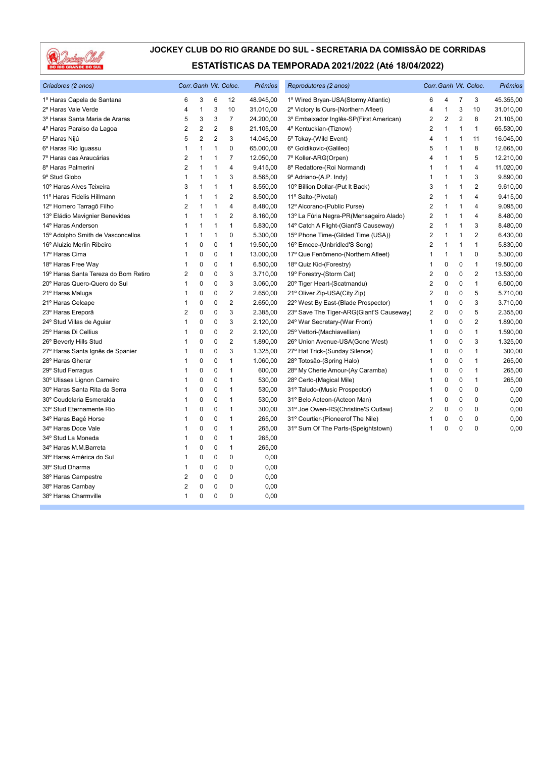

| Criadores (2 anos)                   | Corr. Ganh Vit. Coloc. |                |                |                | Prêmios   | Reprodutores (2 anos)                    |                | Corr. Ganh Vit. Coloc. |                |                         | Prêmios   |
|--------------------------------------|------------------------|----------------|----------------|----------------|-----------|------------------------------------------|----------------|------------------------|----------------|-------------------------|-----------|
| 1º Haras Capela de Santana           | 6                      | 3              | 6              | 12             | 48.945,00 | 1º Wired Bryan-USA(Stormy Atlantic)      | 6              | 4                      | 7              | 3                       | 45.355,00 |
| 2º Haras Vale Verde                  | 4                      | $\mathbf{1}$   | 3              | 10             | 31.010,00 | 2º Victory Is Ours-(Northern Afleet)     | 4              | $\mathbf{1}$           | 3              | 10                      | 31.010,00 |
| 3º Haras Santa Maria de Araras       | 5                      | 3              | 3              | $\overline{7}$ | 24.200,00 | 3º Embaixador Inglês-SP(First American)  | $\overline{2}$ | $\overline{2}$         | $\overline{2}$ | 8                       | 21.105,00 |
| 4º Haras Paraiso da Lagoa            | $\overline{2}$         | $\overline{2}$ | $\overline{2}$ | 8              | 21.105,00 | 4º Kentuckian-(Tiznow)                   | $\overline{2}$ | $\mathbf{1}$           | $\mathbf{1}$   | $\mathbf{1}$            | 65.530,00 |
| 5º Haras Nijú                        | 5                      | $\overline{2}$ | $\overline{2}$ | 3              | 14.045,00 | 5° Tokay-(Wild Event)                    | 4              | 1                      | 1              | 11                      | 16.045,00 |
| 6º Haras Rio Iguassu                 | 1                      | $\mathbf{1}$   | 1              | 0              | 65.000,00 | 6° Goldikovic-(Galileo)                  | 5              | 1                      | 1              | 8                       | 12.665,00 |
| 7º Haras das Araucárias              | 2                      | 1              | 1              | 7              | 12.050,00 | 7º Koller-ARG(Orpen)                     | 4              | $\mathbf{1}$           | 1              | 5                       | 12.210,00 |
| 8º Haras Palmerini                   | $\overline{2}$         | 1              | 1              | 4              | 9.415,00  | 8º Redattore-(Roi Normand)               | $\mathbf 1$    | $\mathbf{1}$           | 1              | $\overline{4}$          | 11.020,00 |
| 9° Stud Globo                        | 1                      | $\overline{1}$ | 1              | 3              | 8.565,00  | 9º Adriano-(A.P. Indy)                   | $\mathbf 1$    | 1                      | 1              | 3                       | 9.890,00  |
| 10° Haras Alves Teixeira             | 3                      | $\overline{1}$ | $\overline{1}$ | $\mathbf{1}$   | 8.550,00  | 10° Billion Dollar-(Put It Back)         | 3              | $\mathbf{1}$           | 1              | $\overline{2}$          | 9.610,00  |
| 11º Haras Fidelis Hillmann           | 1                      | $\mathbf{1}$   | 1              | $\overline{2}$ | 8.500,00  | 11º Salto-(Pivotal)                      | $\overline{2}$ | 1                      | 1              | $\overline{\mathbf{4}}$ | 9.415,00  |
| 12º Homero Tarragô Filho             | $\overline{2}$         | 1              | 1              | 4              | 8.480,00  | 12º Alcorano-(Public Purse)              | $\overline{2}$ | $\mathbf{1}$           | $\mathbf{1}$   | $\overline{\mathbf{4}}$ | 9.095,00  |
| 13º Eládio Mavignier Benevides       | 1                      | 1              | 1              | 2              | 8.160,00  | 13º La Fúria Negra-PR(Mensageiro Alado)  | 2              | $\mathbf{1}$           | 1              | $\overline{4}$          | 8.480,00  |
| 14° Haras Anderson                   | 1                      | $\mathbf{1}$   | 1              | 1              | 5.830,00  | 14° Catch A Flight-(Giant'S Causeway)    | 2              | $\mathbf{1}$           | 1              | 3                       | 8.480,00  |
| 15° Adolpho Smith de Vasconcellos    | 1                      | $\mathbf{1}$   | $\mathbf{1}$   | $\Omega$       | 5.300,00  | 15° Phone Time-(Gilded Time (USA))       | $\overline{2}$ | 1                      | 1              | $\overline{2}$          | 6.430,00  |
| 16° Aluizio Merlin Ribeiro           |                        | $\mathbf 0$    | 0              | $\mathbf{1}$   | 19.500,00 | 16° Emcee-(Unbridled'S Song)             | $\overline{2}$ | $\mathbf{1}$           | 1              | $\mathbf{1}$            | 5.830,00  |
| 17º Haras Cima                       | 1                      | $\pmb{0}$      | 0              | $\mathbf{1}$   | 13.000,00 | 17º Que Fenômeno-(Northern Afleet)       | 1              | 1                      | 1              | $\mathbf{0}$            | 5.300,00  |
| 18º Haras Free Way                   | 1                      | $\mathbf 0$    | 0              | 1              | 6.500,00  | 18° Quiz Kid-(Forestry)                  | $\mathbf 1$    | 0                      | 0              | $\mathbf{1}$            | 19.500,00 |
| 19º Haras Santa Tereza do Bom Retiro | 2                      | $\mathbf 0$    | 0              | 3              | 3.710,00  | 19° Forestry-(Storm Cat)                 | 2              | 0                      | 0              | $\overline{2}$          | 13.530,00 |
| 20° Haras Quero-Quero do Sul         | 1                      | $\mathbf 0$    | 0              | 3              | 3.060,00  | 20° Tiger Heart-(Scatmandu)              | 2              | 0                      | 0              | $\mathbf{1}$            | 6.500,00  |
| 21º Haras Maluga                     |                        | $\mathbf 0$    | 0              | $\overline{2}$ | 2.650,00  | 21° Oliver Zip-USA(City Zip)             | $\overline{2}$ | $\mathbf 0$            | 0              | 5                       | 5.710,00  |
| 21º Haras Celcape                    | 1                      | $\mathbf 0$    | 0              | $\overline{2}$ | 2.650,00  | 22° West By East-(Blade Prospector)      | 1              | 0                      | 0              | 3                       | 3.710,00  |
| 23º Haras Ereporã                    | 2                      | 0              | 0              | 3              | 2.385,00  | 23° Save The Tiger-ARG(Giant'S Causeway) | 2              | 0                      | 0              | 5                       | 2.355,00  |
| 24° Stud Villas de Aquiar            | 1                      | $\mathbf 0$    | 0              | 3              | 2.120,00  | 24° War Secretary-(War Front)            | 1              | $\Omega$               | $\Omega$       | $\overline{2}$          | 1.890,00  |
| 25° Haras Di Cellius                 | 1                      | $\pmb{0}$      | 0              | $\overline{2}$ | 2.120,00  | 25° Vettori-(Machiavellian)              | 1              | 0                      | 0              | $\mathbf{1}$            | 1.590,00  |
| 26° Beverly Hills Stud               | 1                      | $\mathbf 0$    | 0              | 2              | 1.890,00  | 26° Union Avenue-USA(Gone West)          | 1              | 0                      | 0              | 3                       | 1.325,00  |
| 27º Haras Santa Ignês de Spanier     | 1                      | $\mathbf 0$    | 0              | 3              | 1.325,00  | 27º Hat Trick-(Sunday Silence)           | 1              | 0                      | $\Omega$       | $\mathbf{1}$            | 300,00    |
| 28° Haras Gherar                     | 1                      | $\mathbf 0$    | 0              | 1              | 1.060,00  | 28° Totosão-(Spring Halo)                | $\mathbf 1$    | 0                      | 0              | $\mathbf{1}$            | 265,00    |
| 29° Stud Ferragus                    | 1                      | $\mathbf 0$    | 0              | $\mathbf{1}$   | 600,00    | 28° My Cherie Amour-(Ay Caramba)         | 1              | 0                      | 0              | 1                       | 265,00    |
| 30° Ulisses Lignon Carneiro          | 1                      | $\mathbf 0$    | 0              | $\mathbf{1}$   | 530,00    | 28° Certo-(Magical Mile)                 | 1              | 0                      | 0              | $\mathbf{1}$            | 265,00    |
| 30° Haras Santa Rita da Serra        | 1                      | $\mathbf 0$    | 0              | 1              | 530,00    | 31º Taludo-(Music Prospector)            | $\mathbf 1$    | 0                      | 0              | $\mathbf{0}$            | 0,00      |
| 30° Coudelaria Esmeralda             | 1                      | $\mathbf 0$    | 0              | 1              | 530,00    | 31º Belo Acteon-(Acteon Man)             | 1              | 0                      | 0              | $\mathbf{0}$            | 0,00      |
| 33º Stud Eternamente Rio             | 1                      | $\mathbf 0$    | 0              | $\mathbf{1}$   | 300,00    | 31º Joe Owen-RS(Christine'S Outlaw)      | $\overline{2}$ | 0                      | 0              | $\Omega$                | 0,00      |
| 34º Haras Bagé Horse                 | 1                      | $\mathbf 0$    | 0              | 1              | 265,00    | 31º Courtier-(Pioneerof The Nile)        | 1              | 0                      | 0              | $\mathbf{0}$            | 0,00      |
| 34° Haras Doce Vale                  | 1                      | $\mathbf 0$    | 0              | 1              | 265,00    | 31º Sum Of The Parts-(Speightstown)      | 1              | 0                      | 0              | $\mathbf{0}$            | 0,00      |
| 34° Stud La Moneda                   | 1                      | $\mathbf 0$    | 0              | $\mathbf{1}$   | 265,00    |                                          |                |                        |                |                         |           |
| 34° Haras M.M.Barreta                |                        | $\mathbf 0$    | 0              | 1              | 265,00    |                                          |                |                        |                |                         |           |
| 38º Haras América do Sul             | 1                      | $\pmb{0}$      | 0              | 0              | 0,00      |                                          |                |                        |                |                         |           |
| 38° Stud Dharma                      | 1                      | $\mathbf 0$    | 0              | 0              | 0,00      |                                          |                |                        |                |                         |           |
| 38º Haras Campestre                  | 2                      | $\mathbf 0$    | 0              | 0              | 0,00      |                                          |                |                        |                |                         |           |
| 38º Haras Cambay                     | 2                      | $\mathbf 0$    | 0              | 0              | 0,00      |                                          |                |                        |                |                         |           |
| 38º Haras Charmville                 | $\mathbf{1}$           | $\mathbf 0$    | 0              | $\Omega$       | 0,00      |                                          |                |                        |                |                         |           |